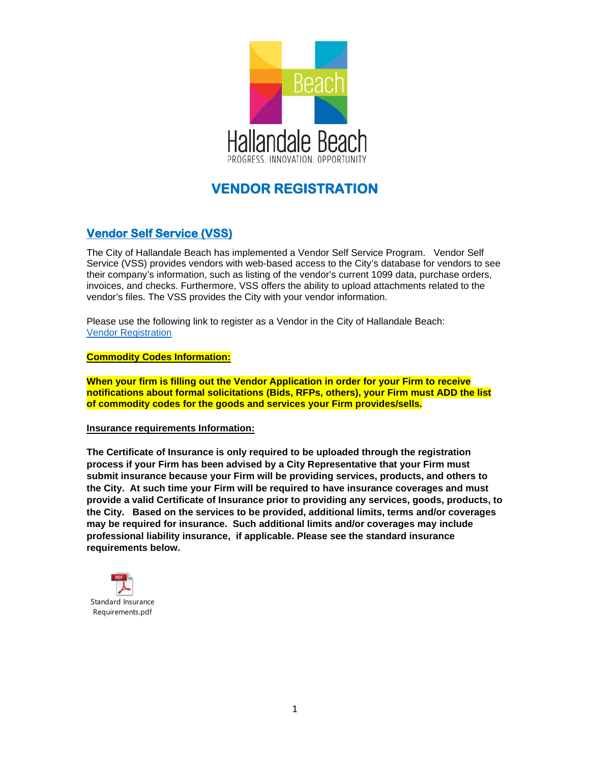

## **VENDOR REGISTRATION**

## **Vendor Self Service (VSS)**

The City of Hallandale Beach has implemented a Vendor Self Service Program. Vendor Self Service (VSS) provides vendors with web-based access to the City's database for vendors to see their company's information, such as listing of the vendor's current 1099 data, purchase orders, invoices, and checks. Furthermore, VSS offers the ability to upload attachments related to the vendor's files. The VSS provides the City with your vendor information.

Please use the following link to register as a Vendor in the City of Hallandale Beach: Vendor [Registration](https://hallandalebeach.munisselfservice.com/Vendors/Registration/Default.aspx)

**Commodity Codes Information:**

**When your firm is filling out the Vendor Application in order for your Firm to receive notifications about formal solicitations (Bids, RFPs, others), your Firm must ADD the list of commodity codes for the goods and services your Firm provides/sells.**

## **Insurance requirements Information:**

**The Certificate of Insurance is only required to be uploaded through the registration process if your Firm has been advised by a City Representative that your Firm must submit insurance because your Firm will be providing services, products, and others to the City. At such time your Firm will be required to have insurance coverages and must provide a valid Certificate of Insurance prior to providing any services, goods, products, to the City. Based on the services to be provided, additional limits, terms and/or coverages may be required for insurance. Such additional limits and/or coverages may include professional liability insurance, if applicable. Please see the standard insurance requirements below.**